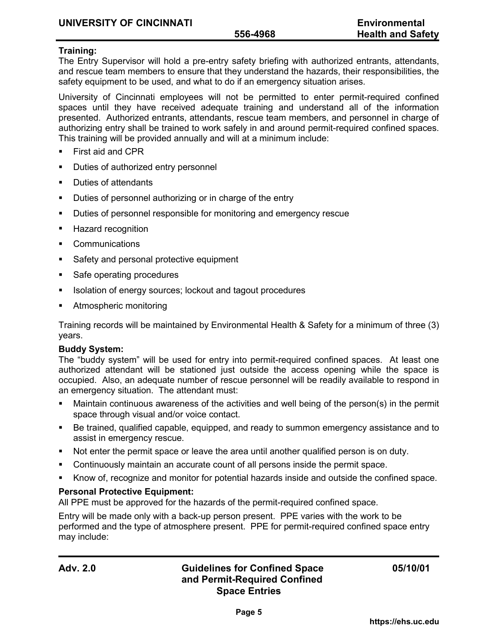## **Training:**

The Entry Supervisor will hold a pre-entry safety briefing with authorized entrants, attendants, and rescue team members to ensure that they understand the hazards, their responsibilities, the safety equipment to be used, and what to do if an emergency situation arises.

University of Cincinnati employees will not be permitted to enter permit-required confined spaces until they have received adequate training and understand all of the information presented. Authorized entrants, attendants, rescue team members, and personnel in charge of authorizing entry shall be trained to work safely in and around permit-required confined spaces. This training will be provided annually and will at a minimum include:

- **First aid and CPR**
- Duties of authorized entry personnel
- **Duties of attendants**
- **Duties of personnel authorizing or in charge of the entry**
- **Duties of personnel responsible for monitoring and emergency rescue**
- Hazard recognition
- Communications
- Safety and personal protective equipment
- Safe operating procedures
- Isolation of energy sources; lockout and tagout procedures
- Atmospheric monitoring

Training records will be maintained by Environmental Health & Safety for a minimum of three (3) years.

### **Buddy System:**

The "buddy system" will be used for entry into permit-required confined spaces. At least one authorized attendant will be stationed just outside the access opening while the space is occupied. Also, an adequate number of rescue personnel will be readily available to respond in an emergency situation. The attendant must:

- Maintain continuous awareness of the activities and well being of the person(s) in the permit space through visual and/or voice contact.
- Be trained, qualified capable, equipped, and ready to summon emergency assistance and to assist in emergency rescue.
- Not enter the permit space or leave the area until another qualified person is on duty.
- Continuously maintain an accurate count of all persons inside the permit space.
- Know of, recognize and monitor for potential hazards inside and outside the confined space.

### **Personal Protective Equipment:**

All PPE must be approved for the hazards of the permit-required confined space.

Entry will be made only with a back-up person present. PPE varies with the work to be performed and the type of atmosphere present. PPE for permit-required confined space entry may include: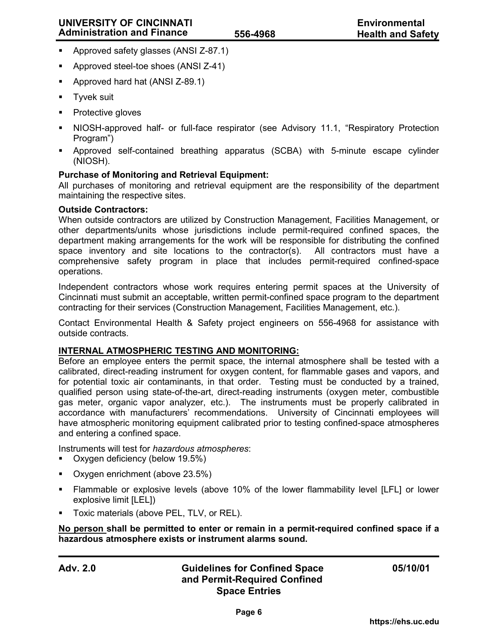- Approved safety glasses (ANSI Z-87.1)
- **Approved steel-toe shoes (ANSI Z-41)**
- Approved hard hat (ANSI Z-89.1)
- Tyvek suit
- Protective gloves
- NIOSH-approved half- or full-face respirator (see Advisory 11.1, "Respiratory Protection Program")
- Approved self-contained breathing apparatus (SCBA) with 5-minute escape cylinder (NIOSH).

## **Purchase of Monitoring and Retrieval Equipment:**

All purchases of monitoring and retrieval equipment are the responsibility of the department maintaining the respective sites.

### **Outside Contractors:**

When outside contractors are utilized by Construction Management, Facilities Management, or other departments/units whose jurisdictions include permit-required confined spaces, the department making arrangements for the work will be responsible for distributing the confined space inventory and site locations to the contractor(s). All contractors must have a comprehensive safety program in place that includes permit-required confined-space operations.

Independent contractors whose work requires entering permit spaces at the University of Cincinnati must submit an acceptable, written permit-confined space program to the department contracting for their services (Construction Management, Facilities Management, etc.).

Contact Environmental Health & Safety project engineers on 556-4968 for assistance with outside contracts.

### **INTERNAL ATMOSPHERIC TESTING AND MONITORING:**

Before an employee enters the permit space, the internal atmosphere shall be tested with a calibrated, direct-reading instrument for oxygen content, for flammable gases and vapors, and for potential toxic air contaminants, in that order. Testing must be conducted by a trained, qualified person using state-of-the-art, direct-reading instruments (oxygen meter, combustible gas meter, organic vapor analyzer, etc.). The instruments must be properly calibrated in accordance with manufacturers' recommendations. University of Cincinnati employees will have atmospheric monitoring equipment calibrated prior to testing confined-space atmospheres and entering a confined space.

Instruments will test for *hazardous atmospheres*:

- Oxygen deficiency (below 19.5%)
- Oxygen enrichment (above 23.5%)
- Flammable or explosive levels (above 10% of the lower flammability level [LFL] or lower explosive limit [LEL])
- **Toxic materials (above PEL, TLV, or REL).**

**No person shall be permitted to enter or remain in a permit-required confined space if a hazardous atmosphere exists or instrument alarms sound.**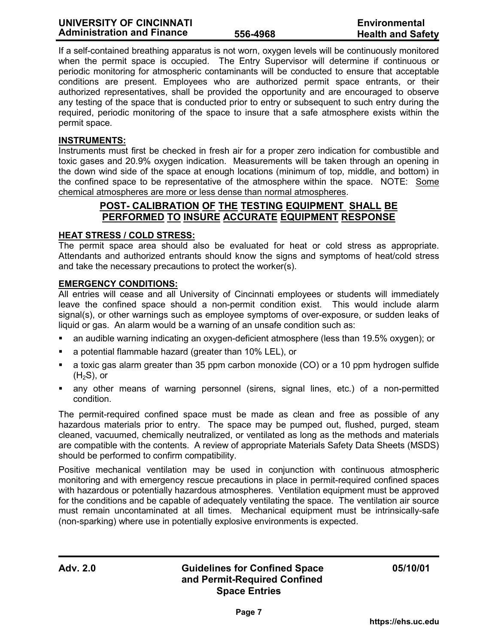If a self-contained breathing apparatus is not worn, oxygen levels will be continuously monitored when the permit space is occupied. The Entry Supervisor will determine if continuous or periodic monitoring for atmospheric contaminants will be conducted to ensure that acceptable conditions are present. Employees who are authorized permit space entrants, or their authorized representatives, shall be provided the opportunity and are encouraged to observe any testing of the space that is conducted prior to entry or subsequent to such entry during the required, periodic monitoring of the space to insure that a safe atmosphere exists within the permit space.

## **INSTRUMENTS:**

Instruments must first be checked in fresh air for a proper zero indication for combustible and toxic gases and 20.9% oxygen indication. Measurements will be taken through an opening in the down wind side of the space at enough locations (minimum of top, middle, and bottom) in the confined space to be representative of the atmosphere within the space. NOTE: Some chemical atmospheres are more or less dense than normal atmospheres.

# **POST- CALIBRATION OF THE TESTING EQUIPMENT SHALL BE PERFORMED TO INSURE ACCURATE EQUIPMENT RESPONSE**

## **HEAT STRESS / COLD STRESS:**

The permit space area should also be evaluated for heat or cold stress as appropriate. Attendants and authorized entrants should know the signs and symptoms of heat/cold stress and take the necessary precautions to protect the worker(s).

## **EMERGENCY CONDITIONS:**

All entries will cease and all University of Cincinnati employees or students will immediately leave the confined space should a non-permit condition exist. This would include alarm signal(s), or other warnings such as employee symptoms of over-exposure, or sudden leaks of liquid or gas. An alarm would be a warning of an unsafe condition such as:

- an audible warning indicating an oxygen-deficient atmosphere (less than 19.5% oxygen); or
- a potential flammable hazard (greater than 10% LEL), or
- a toxic gas alarm greater than 35 ppm carbon monoxide (CO) or a 10 ppm hydrogen sulfide  $(H<sub>2</sub>S)$ , or
- any other means of warning personnel (sirens, signal lines, etc.) of a non-permitted condition.

The permit-required confined space must be made as clean and free as possible of any hazardous materials prior to entry. The space may be pumped out, flushed, purged, steam cleaned, vacuumed, chemically neutralized, or ventilated as long as the methods and materials are compatible with the contents. A review of appropriate Materials Safety Data Sheets (MSDS) should be performed to confirm compatibility.

Positive mechanical ventilation may be used in conjunction with continuous atmospheric monitoring and with emergency rescue precautions in place in permit-required confined spaces with hazardous or potentially hazardous atmospheres. Ventilation equipment must be approved for the conditions and be capable of adequately ventilating the space. The ventilation air source must remain uncontaminated at all times. Mechanical equipment must be intrinsically-safe (non-sparking) where use in potentially explosive environments is expected.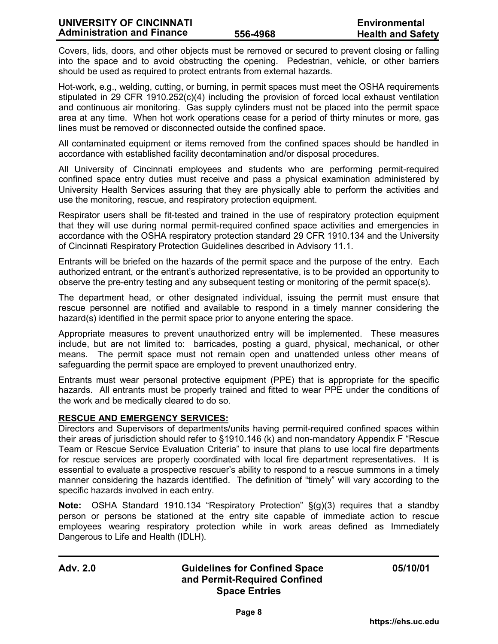Covers, lids, doors, and other objects must be removed or secured to prevent closing or falling into the space and to avoid obstructing the opening. Pedestrian, vehicle, or other barriers should be used as required to protect entrants from external hazards.

Hot-work, e.g., welding, cutting, or burning, in permit spaces must meet the OSHA requirements stipulated in 29 CFR 1910.252(c)(4) including the provision of forced local exhaust ventilation and continuous air monitoring. Gas supply cylinders must not be placed into the permit space area at any time. When hot work operations cease for a period of thirty minutes or more, gas lines must be removed or disconnected outside the confined space.

All contaminated equipment or items removed from the confined spaces should be handled in accordance with established facility decontamination and/or disposal procedures.

All University of Cincinnati employees and students who are performing permit-required confined space entry duties must receive and pass a physical examination administered by University Health Services assuring that they are physically able to perform the activities and use the monitoring, rescue, and respiratory protection equipment.

Respirator users shall be fit-tested and trained in the use of respiratory protection equipment that they will use during normal permit-required confined space activities and emergencies in accordance with the OSHA respiratory protection standard 29 CFR 1910.134 and the University of Cincinnati Respiratory Protection Guidelines described in Advisory 11.1.

Entrants will be briefed on the hazards of the permit space and the purpose of the entry. Each authorized entrant, or the entrant's authorized representative, is to be provided an opportunity to observe the pre-entry testing and any subsequent testing or monitoring of the permit space(s).

The department head, or other designated individual, issuing the permit must ensure that rescue personnel are notified and available to respond in a timely manner considering the hazard(s) identified in the permit space prior to anyone entering the space.

Appropriate measures to prevent unauthorized entry will be implemented. These measures include, but are not limited to: barricades, posting a guard, physical, mechanical, or other means. The permit space must not remain open and unattended unless other means of safeguarding the permit space are employed to prevent unauthorized entry.

Entrants must wear personal protective equipment (PPE) that is appropriate for the specific hazards. All entrants must be properly trained and fitted to wear PPE under the conditions of the work and be medically cleared to do so.

### **RESCUE AND EMERGENCY SERVICES:**

Directors and Supervisors of departments/units having permit-required confined spaces within their areas of jurisdiction should refer to §1910.146 (k) and non-mandatory Appendix F "Rescue Team or Rescue Service Evaluation Criteria" to insure that plans to use local fire departments for rescue services are properly coordinated with local fire department representatives. It is essential to evaluate a prospective rescuer's ability to respond to a rescue summons in a timely manner considering the hazards identified. The definition of "timely" will vary according to the specific hazards involved in each entry.

**Note:** OSHA Standard 1910.134 "Respiratory Protection" §(g)(3) requires that a standby person or persons be stationed at the entry site capable of immediate action to rescue employees wearing respiratory protection while in work areas defined as Immediately Dangerous to Life and Health (IDLH).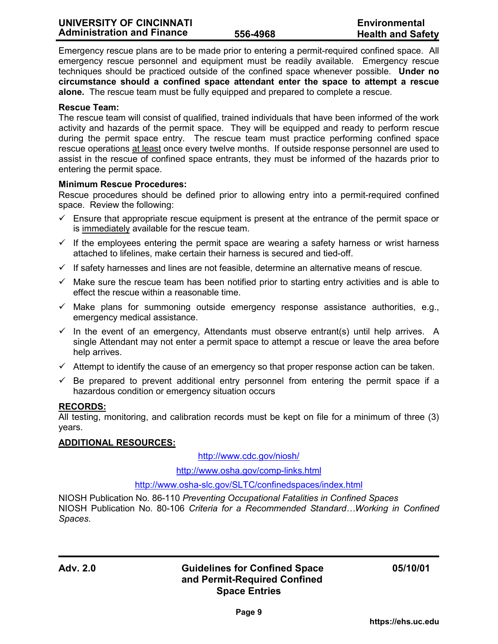Emergency rescue plans are to be made prior to entering a permit-required confined space. All emergency rescue personnel and equipment must be readily available. Emergency rescue techniques should be practiced outside of the confined space whenever possible. **Under no circumstance should a confined space attendant enter the space to attempt a rescue alone.** The rescue team must be fully equipped and prepared to complete a rescue.

## **Rescue Team:**

The rescue team will consist of qualified, trained individuals that have been informed of the work activity and hazards of the permit space. They will be equipped and ready to perform rescue during the permit space entry. The rescue team must practice performing confined space rescue operations at least once every twelve months. If outside response personnel are used to assist in the rescue of confined space entrants, they must be informed of the hazards prior to entering the permit space.

### **Minimum Rescue Procedures:**

Rescue procedures should be defined prior to allowing entry into a permit-required confined space. Review the following:

- $\checkmark$  Ensure that appropriate rescue equipment is present at the entrance of the permit space or is immediately available for the rescue team.
- $\checkmark$  If the employees entering the permit space are wearing a safety harness or wrist harness attached to lifelines, make certain their harness is secured and tied-off.
- $\checkmark$  If safety harnesses and lines are not feasible, determine an alternative means of rescue.
- $\checkmark$  Make sure the rescue team has been notified prior to starting entry activities and is able to effect the rescue within a reasonable time.
- $\checkmark$  Make plans for summoning outside emergency response assistance authorities, e.g., emergency medical assistance.
- $\checkmark$  In the event of an emergency, Attendants must observe entrant(s) until help arrives. A single Attendant may not enter a permit space to attempt a rescue or leave the area before help arrives.
- $\checkmark$  Attempt to identify the cause of an emergency so that proper response action can be taken.
- $\checkmark$  Be prepared to prevent additional entry personnel from entering the permit space if a hazardous condition or emergency situation occurs

### **RECORDS:**

All testing, monitoring, and calibration records must be kept on file for a minimum of three (3) years.

## **ADDITIONAL RESOURCES:**

[http://www.cdc.gov](http://www.cdc.gov/niosh/)/niosh/

[http://www.osha.gov/comp-links.html](http://www.osha.gov/)

## <http://www.osha-slc.gov/SLTC/confinedspaces/index.html>

NIOSH Publication No. 86-110 *Preventing Occupational Fatalities in Confined Spaces* NIOSH Publication No. 80-106 *Criteria for a Recommended Standard…Working in Confined Spaces*.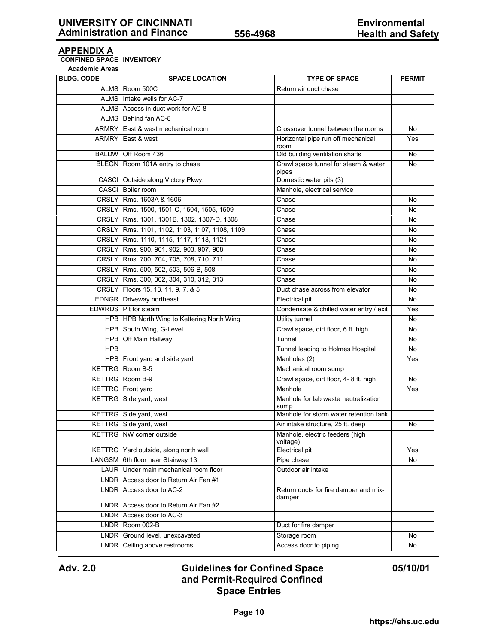## **APPENDIX A**

**CONFINED SPACE INVENTORY**

**Academic Areas**

| <b>BLDG. CODE</b> | <b>SPACE LOCATION</b>                         | <b>TYPE OF SPACE</b>                            | <b>PERMIT</b>  |
|-------------------|-----------------------------------------------|-------------------------------------------------|----------------|
|                   | ALMS Room 500C                                | Return air duct chase                           |                |
|                   | ALMS Intake wells for AC-7                    |                                                 |                |
|                   | ALMS Access in duct work for AC-8             |                                                 |                |
|                   | ALMS Behind fan AC-8                          |                                                 |                |
|                   | ARMRY   East & west mechanical room           | Crossover tunnel between the rooms              | No             |
|                   | ARMRY East & west                             | Horizontal pipe run off mechanical<br>room      | Yes            |
|                   | BALDW Off Room 436                            | Old building ventilation shafts                 | No             |
|                   | BLEGN Room 101A entry to chase                | Crawl space tunnel for steam & water<br>pipes   | No             |
|                   | CASCI Outside along Victory Pkwy.             | Domestic water pits (3)                         |                |
|                   | CASCI Boiler room                             | Manhole, electrical service                     |                |
|                   | CRSLY   Rms. 1603A & 1606                     | Chase                                           | No             |
|                   | CRSLY   Rms. 1500, 1501-C, 1504, 1505, 1509   | Chase                                           | No             |
|                   | CRSLY Rms. 1301, 1301B, 1302, 1307-D, 1308    | Chase                                           | No             |
|                   | CRSLY Rms. 1101, 1102, 1103, 1107, 1108, 1109 | Chase                                           | No             |
|                   | CRSLY Rms. 1110, 1115, 1117, 1118, 1121       | Chase                                           | No             |
|                   | CRSLY   Rms. 900, 901, 902, 903, 907, 908     | Chase                                           | No             |
|                   | CRSLY Rms. 700, 704, 705, 708, 710, 711       | Chase                                           | No             |
|                   | CRSLY   Rms. 500, 502, 503, 506-B, 508        | Chase                                           | No             |
|                   | CRSLY Rms. 300, 302, 304, 310, 312, 313       | Chase                                           | No             |
|                   | CRSLY   Floors 15, 13, 11, 9, 7, & 5          | Duct chase across from elevator                 | No             |
|                   | EDNGR Driveway northeast                      | Electrical pit                                  | No             |
|                   | EDWRDS Pit for steam                          | Condensate & chilled water entry / exit         | Yes            |
|                   | HPB   HPB North Wing to Kettering North Wing  | <b>Utility tunnel</b>                           | N <sub>o</sub> |
|                   | HPB South Wing, G-Level                       | Crawl space, dirt floor, 6 ft. high             | No             |
| <b>HPB</b>        | Off Main Hallway                              | Tunnel                                          | No             |
| <b>HPB</b>        |                                               | Tunnel leading to Holmes Hospital               | No             |
|                   | HPB Front yard and side yard                  | Manholes (2)                                    | Yes            |
|                   | <b>KETTRG</b> Room B-5                        | Mechanical room sump                            |                |
|                   | <b>KETTRG</b> Room B-9                        | Crawl space, dirt floor, 4- 8 ft. high          | No             |
|                   | KETTRG Front yard                             | Manhole                                         | Yes            |
|                   | KETTRG Side yard, west                        | Manhole for lab waste neutralization<br>sump    |                |
|                   | KETTRG Side yard, west                        | Manhole for storm water retention tank          |                |
|                   | KETTRG Side yard, west                        | Air intake structure, 25 ft. deep               | No             |
|                   | <b>KETTRG</b> NW corner outside               | Manhole, electric feeders (high<br>voltage)     |                |
|                   | KETTRG   Yard outside, along north wall       | Electrical pit                                  | Yes            |
|                   | LANGSM 6th floor near Stairway 13             | Pipe chase                                      | No             |
|                   | LAUR Under main mechanical room floor         | Outdoor air intake                              |                |
|                   | LNDR Access door to Return Air Fan #1         |                                                 |                |
|                   | LNDR Access door to AC-2                      | Return ducts for fire damper and mix-<br>damper |                |
|                   | LNDR Access door to Return Air Fan #2         |                                                 |                |
|                   | LNDR Access door to AC-3                      |                                                 |                |
|                   | LNDR Room 002-B                               | Duct for fire damper                            |                |
|                   | LNDR Ground level, unexcavated                | Storage room                                    | No             |
|                   | LNDR Ceiling above restrooms                  | Access door to piping                           | No             |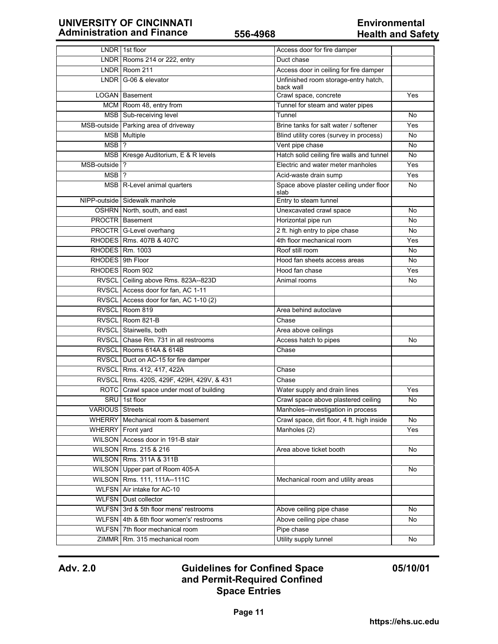# **UNIVERSITY OF CINCINNATI**<br> **Administration and Finance Environmental**<br> **Environmental**<br> **Environmental Administration and Finance 556-4968**

|                        | LNDR 1st floor                           | Access door for fire damper                       |     |
|------------------------|------------------------------------------|---------------------------------------------------|-----|
|                        | LNDR Rooms 214 or 222, entry             | Duct chase                                        |     |
|                        | LNDR Room 211                            | Access door in ceiling for fire damper            |     |
|                        | LNDR G-06 & elevator                     | Unfinished room storage-entry hatch,<br>back wall |     |
|                        | <b>LOGAN</b> Basement                    | Crawl space, concrete                             | Yes |
|                        | MCM Room 48, entry from                  | Tunnel for steam and water pipes                  |     |
|                        | MSB Sub-receiving level                  | Tunnel                                            | No  |
|                        | MSB-outside Parking area of driveway     | Brine tanks for salt water / softener             | Yes |
|                        | MSB Multiple                             | Blind utility cores (survey in process)           | No  |
| $MSB$ ?                |                                          | Vent pipe chase                                   | No  |
|                        | MSB   Kresge Auditorium, E & R levels    | Hatch solid ceiling fire walls and tunnel         | No  |
| MSB-outside   ?        |                                          | Electric and water meter manholes                 | Yes |
| MSB <sub>1</sub> ?     |                                          | Acid-waste drain sump                             | Yes |
|                        | MSB R-Level animal quarters              | Space above plaster ceiling under floor<br>slab   | No  |
|                        | NIPP-outside Sidewalk manhole            | Entry to steam tunnel                             |     |
|                        | OSHRN North, south, and east             | Unexcavated crawl space                           | No  |
|                        | <b>PROCTR</b> Basement                   | Horizontal pipe run                               | No  |
|                        | PROCTR G-Level overhang                  | 2 ft. high entry to pipe chase                    | No. |
|                        | RHODES   Rms. 407B & 407C                | 4th floor mechanical room                         | Yes |
|                        | RHODES   Rm. 1003                        | Roof still room                                   | No  |
| RHODES 9th Floor       |                                          | Hood fan sheets access areas                      | No  |
|                        | RHODES   Room 902                        | Hood fan chase                                    | Yes |
|                        | RVSCL Ceiling above Rms. 823A--823D      | Animal rooms                                      | No  |
|                        | RVSCL Access door for fan, AC 1-11       |                                                   |     |
|                        | RVSCL Access door for fan, AC 1-10 (2)   |                                                   |     |
|                        | RVSCL Room 819                           | Area behind autoclave                             |     |
|                        | RVSCL Room 821-B                         | Chase                                             |     |
|                        | RVSCL Stairwells, both                   | Area above ceilings                               |     |
|                        | RVSCL Chase Rm. 731 in all restrooms     | Access hatch to pipes                             | No  |
|                        | RVSCL Rooms 614A & 614B                  | Chase                                             |     |
|                        | RVSCL Duct on AC-15 for fire damper      |                                                   |     |
|                        | RVSCL Rms. 412, 417, 422A                | Chase                                             |     |
|                        | RVSCL Rms. 420S, 429F, 429H, 429V, & 431 | Chase                                             |     |
|                        | ROTC Crawl space under most of building  | Water supply and drain lines                      | Yes |
|                        | SRU 1st floor                            | Crawl space above plastered ceiling               | No  |
| <b>VARIOUS</b> Streets |                                          | Manholes--investigation in process                |     |
| <b>WHERRY</b>          | Mechanical room & basement               | Crawl space, dirt floor, 4 ft. high inside        | No  |
|                        | WHERRY Front yard                        | Manholes (2)                                      | Yes |
|                        | WILSON Access door in 191-B stair        |                                                   |     |
|                        | WILSON Rms. 215 & 216                    | Area above ticket booth                           | No  |
|                        | WILSON Rms. 311A & 311B                  |                                                   |     |
|                        | WILSON Upper part of Room 405-A          |                                                   | No  |
|                        | WILSON   Rms. 111, 111A--111C            | Mechanical room and utility areas                 |     |
|                        | WLFSN Air intake for AC-10               |                                                   |     |
|                        | <b>WLFSN</b> Dust collector              |                                                   |     |
|                        | WLFSN 3rd & 5th floor mens' restrooms    | Above ceiling pipe chase                          | No  |
|                        | WLFSN 4th & 6th floor women's' restrooms | Above ceiling pipe chase                          | No  |
|                        | WLFSN 7th floor mechanical room          | Pipe chase                                        |     |
|                        | ZIMMR Rm. 315 mechanical room            | Utility supply tunnel                             | No  |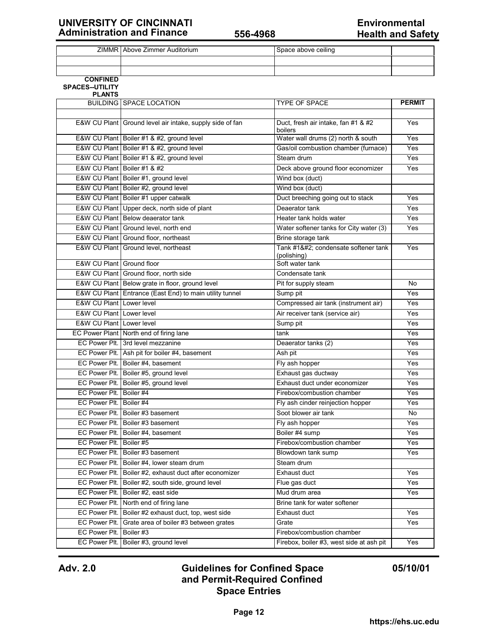# **UNIVERSITY OF CINCINNATI** 656-4968 **Environmental**<br> **Environmental Administration and Finance Environmental Environmental Environmental Environmental Environmental Environmental Environmental Env Administration and Finance 556-4968**

|                               | ZIMMR Above Zimmer Auditorium                            | Space above ceiling                            |               |
|-------------------------------|----------------------------------------------------------|------------------------------------------------|---------------|
|                               |                                                          |                                                |               |
|                               |                                                          |                                                |               |
| <b>CONFINED</b>               |                                                          |                                                |               |
| <b>SPACES--UTILITY</b>        |                                                          |                                                |               |
| <b>PLANTS</b>                 | <b>BUILDING SPACE LOCATION</b>                           | TYPE OF SPACE                                  | <b>PERMIT</b> |
|                               |                                                          |                                                |               |
|                               |                                                          |                                                | Yes           |
|                               | E&W CU Plant Ground level air intake, supply side of fan | Duct, fresh air intake, fan #1 & #2<br>boilers |               |
|                               | E&W CU Plant   Boiler #1 & #2, ground level              | Water wall drums (2) north & south             | Yes           |
|                               | E&W CU Plant Boiler #1 & #2, ground level                | Gas/oil combustion chamber (furnace)           | Yes           |
|                               | E&W CU Plant Boiler #1 & #2, ground level                | Steam drum                                     | Yes           |
| E&W CU Plant   Boiler #1 & #2 |                                                          | Deck above ground floor economizer             | Yes           |
|                               | E&W CU Plant   Boiler #1, ground level                   | Wind box (duct)                                |               |
|                               | E&W CU Plant Boiler #2, ground level                     | Wind box (duct)                                |               |
|                               | E&W CU Plant Boiler #1 upper catwalk                     | Duct breeching going out to stack              | Yes           |
|                               | E&W CU Plant Upper deck, north side of plant             | Deaerator tank                                 | Yes           |
|                               | E&W CU Plant Below deaerator tank                        | Heater tank holds water                        | Yes           |
|                               | E&W CU Plant Ground level, north end                     | Water softener tanks for City water (3)        | Yes           |
|                               | E&W CU Plant Ground floor, northeast                     | Brine storage tank                             |               |
|                               | E&W CU Plant Ground level, northeast                     | Tank #1 condensate softener tank               | Yes           |
|                               |                                                          | (polishing)                                    |               |
| E&W CU Plant Ground floor     |                                                          | Soft water tank                                |               |
|                               | E&W CU Plant Ground floor, north side                    | Condensate tank                                |               |
|                               | E&W CU Plant Below grate in floor, ground level          | Pit for supply steam                           | No            |
|                               | E&W CU Plant Entrance (East End) to main utility tunnel  | Sump pit                                       | Yes           |
| E&W CU Plant Lower level      |                                                          | Compressed air tank (instrument air)           | Yes           |
| E&W CU Plant Lower level      |                                                          | Air receiver tank (service air)                | Yes           |
| E&W CU Plant Lower level      |                                                          | Sump pit                                       | Yes           |
|                               | EC Power Plant North end of firing lane                  | tank                                           | Yes           |
|                               | EC Power Plt. 3rd level mezzanine                        | Deaerator tanks (2)                            | Yes           |
|                               | EC Power Plt. Ash pit for boiler #4, basement            | Ash pit                                        | Yes           |
|                               | EC Power Plt. Boiler #4, basement                        | Fly ash hopper                                 | Yes           |
|                               | EC Power Plt. Boiler #5, ground level                    | Exhaust gas ductway                            | Yes           |
|                               | EC Power Plt. Boiler #5, ground level                    | Exhaust duct under economizer                  | Yes           |
| EC Power Plt. Boiler #4       |                                                          | Firebox/combustion chamber                     | Yes           |
| EC Power Plt. Boiler #4       |                                                          | Fly ash cinder reinjection hopper              | Yes           |
|                               | EC Power Plt.   Boiler #3 basement                       | Soot blower air tank                           | No            |
|                               | EC Power Plt.   Boiler #3 basement                       | Fly ash hopper                                 | Yes           |
|                               | EC Power Plt.   Boiler #4, basement                      | Boiler #4 sump                                 | Yes           |
| EC Power Plt. Boiler #5       |                                                          | Firebox/combustion chamber                     | Yes           |
|                               | EC Power Plt.   Boiler #3 basement                       | Blowdown tank sump                             | Yes           |
|                               | EC Power Plt. Boiler #4, lower steam drum                | Steam drum                                     |               |
|                               | EC Power Plt.   Boiler #2, exhaust duct after economizer | Exhaust duct                                   | Yes           |
|                               | EC Power Plt. Boiler #2, south side, ground level        | Flue gas duct                                  | Yes           |
|                               | EC Power Plt. Boiler #2, east side                       | Mud drum area                                  | Yes           |
|                               | EC Power Plt. North end of firing lane                   | Brine tank for water softener                  |               |
|                               | EC Power Plt. Boiler #2 exhaust duct, top, west side     | Exhaust duct                                   | Yes           |
|                               | EC Power Plt. Grate area of boiler #3 between grates     | Grate                                          | Yes           |
| EC Power Plt. Boiler #3       |                                                          | Firebox/combustion chamber                     |               |
|                               | EC Power Plt. Boiler #3, ground level                    | Firebox, boiler #3, west side at ash pit       | Yes           |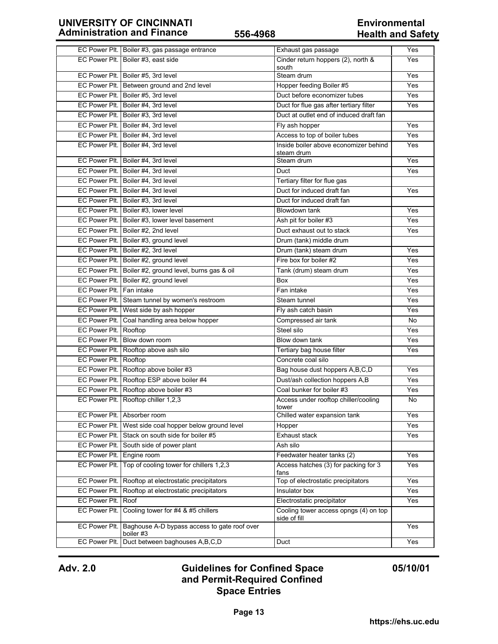|                              | EC Power Plt. Boiler #3, gas passage entrance                             | Exhaust gas passage                                   | Yes |
|------------------------------|---------------------------------------------------------------------------|-------------------------------------------------------|-----|
|                              | EC Power Plt. Boiler #3, east side                                        | Cinder return hoppers (2), north &<br>south           | Yes |
|                              | EC Power Plt. Boiler #5, 3rd level                                        | Steam drum                                            | Yes |
|                              | EC Power Plt. Between ground and 2nd level                                | Hopper feeding Boiler #5                              | Yes |
|                              | EC Power Plt. Boiler #5, 3rd level                                        | Duct before economizer tubes                          | Yes |
|                              | EC Power Plt.   Boiler #4, 3rd level                                      | Duct for flue gas after tertiary filter               | Yes |
|                              | EC Power Plt.   Boiler #3, 3rd level                                      | Duct at outlet end of induced draft fan               |     |
|                              | EC Power Plt.   Boiler #4, 3rd level                                      | Fly ash hopper                                        | Yes |
|                              | EC Power Plt. Boiler #4, 3rd level                                        | Access to top of boiler tubes                         | Yes |
|                              | EC Power Plt. Boiler #4, 3rd level                                        | Inside boiler above economizer behind<br>steam drum   | Yes |
|                              | EC Power Plt. Boiler #4, 3rd level                                        | Steam drum                                            | Yes |
|                              | EC Power Plt. Boiler #4, 3rd level                                        | Duct                                                  | Yes |
|                              | EC Power Plt. Boiler #4, 3rd level                                        | Tertiary filter for flue gas                          |     |
|                              | EC Power Plt. Boiler #4, 3rd level                                        | Duct for induced draft fan                            | Yes |
|                              | EC Power Plt. Boiler #3, 3rd level                                        | Duct for induced draft fan                            |     |
|                              | EC Power Plt. Boiler #3, lower level                                      | Blowdown tank                                         | Yes |
|                              | EC Power Plt. Boiler #3, lower level basement                             | Ash pit for boiler #3                                 | Yes |
|                              | EC Power Plt. Boiler #2, 2nd level                                        | Duct exhaust out to stack                             | Yes |
|                              | EC Power Plt. Boiler #3, ground level                                     | Drum (tank) middle drum                               |     |
|                              | EC Power Plt. Boiler #2, 3rd level                                        | Drum (tank) steam drum                                | Yes |
|                              | EC Power Plt. Boiler #2, ground level                                     | Fire box for boiler #2                                | Yes |
|                              | EC Power Plt. Boiler #2, ground level, burns gas & oil                    | Tank (drum) steam drum                                | Yes |
|                              | EC Power Plt. Boiler #2, ground level                                     | <b>Box</b>                                            | Yes |
| EC Power Plt. Fan intake     |                                                                           | Fan intake                                            | Yes |
|                              | EC Power Plt. Steam tunnel by women's restroom                            | Steam tunnel                                          | Yes |
|                              | EC Power Plt. West side by ash hopper                                     | Fly ash catch basin                                   | Yes |
|                              | EC Power Plt. Coal handling area below hopper                             | Compressed air tank                                   | No  |
| EC Power Plt. Rooftop        |                                                                           | Steel silo                                            | Yes |
|                              | EC Power Plt. Blow down room                                              | Blow down tank                                        | Yes |
|                              | EC Power Plt. Rooftop above ash silo                                      | Tertiary bag house filter                             | Yes |
| <b>EC Power Plt. Rooftop</b> |                                                                           | Concrete coal silo                                    |     |
|                              | EC Power Plt. Rooftop above boiler #3                                     | Bag house dust hoppers A, B, C, D                     | Yes |
|                              | EC Power Plt. Rooftop ESP above boiler #4                                 | Dust/ash collection hoppers A,B                       | Yes |
|                              | EC Power Plt. Rooftop above boiler #3                                     | Coal bunker for boiler #3                             | Yes |
|                              | EC Power Plt. Rooftop chiller 1,2,3                                       | Access under rooftop chiller/cooling<br>tower         | No  |
|                              | EC Power Plt. Absorber room                                               | Chilled water expansion tank                          | Yes |
|                              | EC Power Plt. West side coal hopper below ground level                    | Hopper                                                | Yes |
|                              | EC Power Plt. Stack on south side for boiler #5                           | Exhaust stack                                         | Yes |
|                              | EC Power Plt. South side of power plant                                   | Ash silo                                              |     |
| EC Power Plt. Engine room    |                                                                           | Feedwater heater tanks (2)                            | Yes |
|                              | EC Power Plt.   Top of cooling tower for chillers 1,2,3                   | Access hatches (3) for packing for 3<br>fans          | Yes |
|                              | EC Power Plt.   Rooftop at electrostatic precipitators                    | Top of electrostatic precipitators                    | Yes |
| EC Power Plt.                | Rooftop at electrostatic precipitators                                    | Insulator box                                         | Yes |
| EC Power Plt.                | Roof                                                                      | Electrostatic precipitator                            | Yes |
| EC Power Plt.                | Cooling tower for #4 & #5 chillers                                        | Cooling tower access opngs (4) on top<br>side of fill |     |
|                              | EC Power Plt.   Baghouse A-D bypass access to gate roof over<br>boiler #3 |                                                       | Yes |
|                              | EC Power Plt. Duct between baghouses A,B,C,D                              | Duct                                                  | Yes |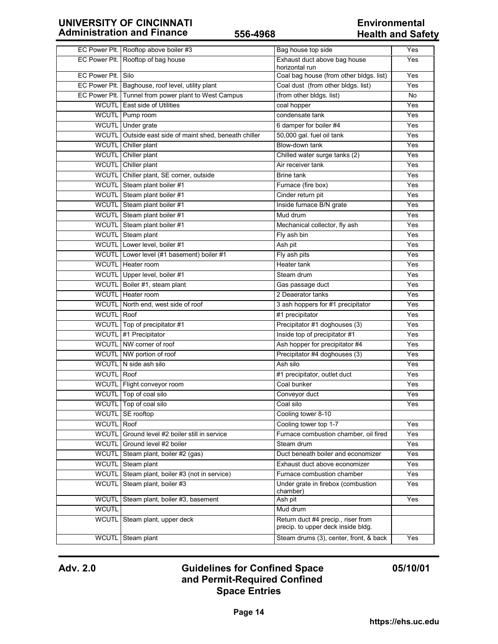|                    | EC Power Plt. Rooftop above boiler #3                  | Bag house top side                                                       | Yes |
|--------------------|--------------------------------------------------------|--------------------------------------------------------------------------|-----|
|                    | EC Power Plt. Rooftop of bag house                     | Exhaust duct above bag house<br>horizontal run                           | Yes |
| EC Power Plt. Silo |                                                        | Coal bag house (from other bldgs. list)                                  | Yes |
|                    | EC Power Plt. Baghouse, roof level, utility plant      | Coal dust (from other bldgs. list)                                       | Yes |
|                    | EC Power Plt. Tunnel from power plant to West Campus   | (from other bldgs. list)                                                 | No  |
|                    | WCUTL East side of Utilities                           | coal hopper                                                              | Yes |
|                    | WCUTL Pump room                                        | condensate tank                                                          | Yes |
|                    | WCUTL Under grate                                      | 6 damper for boiler #4                                                   | Yes |
|                    | WCUTL Outside east side of maint shed, beneath chiller | 50,000 gal. fuel oil tank                                                | Yes |
|                    | WCUTL Chiller plant                                    | Blow-down tank                                                           | Yes |
|                    | WCUTL Chiller plant                                    | Chilled water surge tanks (2)                                            | Yes |
|                    | WCUTL Chiller plant                                    | Air receiver tank                                                        | Yes |
|                    | WCUTL Chiller plant, SE corner, outside                | <b>Brine tank</b>                                                        | Yes |
|                    | WCUTL Steam plant boiler #1                            | Furnace (fire box)                                                       | Yes |
|                    | WCUTL Steam plant boiler #1                            | Cinder return pit                                                        | Yes |
|                    | WCUTL Steam plant boiler #1                            | Inside furnace B/N grate                                                 | Yes |
|                    | WCUTL Steam plant boiler #1                            | Mud drum                                                                 | Yes |
|                    | WCUTL Steam plant boiler #1                            | Mechanical collector, fly ash                                            | Yes |
|                    | WCUTL Steam plant                                      | Fly ash bin                                                              | Yes |
|                    | WCUTL Lower level, boiler #1                           | Ash pit                                                                  | Yes |
|                    | WCUTL Lower level (#1 basement) boiler #1              | Fly ash pits                                                             | Yes |
|                    | WCUTL   Heater room                                    | Heater tank                                                              | Yes |
|                    | WCUTL Upper level, boiler #1                           | Steam drum                                                               | Yes |
|                    | WCUTL Boiler #1, steam plant                           | Gas passage duct                                                         | Yes |
|                    | WCUTL   Heater room                                    | 2 Deaerator tanks                                                        | Yes |
|                    | WCUTL North end, west side of roof                     | 3 ash hoppers for #1 precipitator                                        | Yes |
| <b>WCUTL</b> Roof  |                                                        | #1 precipitator                                                          | Yes |
|                    | WCUTL Top of precipitator #1                           | Precipitator #1 doghouses (3)                                            | Yes |
|                    | WCUTL #1 Precipitator                                  | Inside top of precipitator #1                                            | Yes |
|                    | WCUTL NW corner of roof                                | Ash hopper for precipitator #4                                           | Yes |
|                    | WCUTL NW portion of roof                               | Precipitator #4 doghouses (3)                                            | Yes |
|                    | WCUTL N side ash silo                                  | Ash silo                                                                 | Yes |
| WCUTL Roof         |                                                        | #1 precipitator, outlet duct                                             | Yes |
|                    | WCUTL Flight conveyor room                             | Coal bunker                                                              | Yes |
|                    | WCUTL Top of coal silo                                 | Conveyor duct                                                            | Yes |
|                    | WCUTL Top of coal silo                                 | Coal silo                                                                | Yes |
| <b>WCUTL</b>       | SE rooftop                                             | Cooling tower 8-10                                                       |     |
| <b>WCUTL</b>       | Roof                                                   | Cooling tower top 1-7                                                    | Yes |
| <b>WCUTL</b>       | Ground level #2 boiler still in service                | Furnace combustion chamber, oil fired                                    | Yes |
| <b>WCUTL</b>       | Ground level #2 boiler                                 | Steam drum                                                               | Yes |
| <b>WCUTL</b>       | Steam plant, boiler #2 (gas)                           | Duct beneath boiler and economizer                                       | Yes |
| <b>WCUTL</b>       | Steam plant                                            | Exhaust duct above economizer                                            | Yes |
| <b>WCUTL</b>       | Steam plant, boiler #3 (not in service)                | Furnace combustion chamber                                               | Yes |
| <b>WCUTL</b>       | Steam plant, boiler #3                                 | Under grate in firebox (combustion                                       | Yes |
|                    |                                                        | chamber)                                                                 |     |
| <b>WCUTL</b>       | Steam plant, boiler #3, basement                       | Ash pit                                                                  | Yes |
| <b>WCUTL</b>       |                                                        | Mud drum                                                                 |     |
| <b>WCUTL</b>       | Steam plant, upper deck                                | Return duct #4 precip., riser from<br>precip. to upper deck inside bldg. |     |
| <b>WCUTL</b>       | Steam plant                                            | Steam drums (3), center, front, & back                                   | Yes |